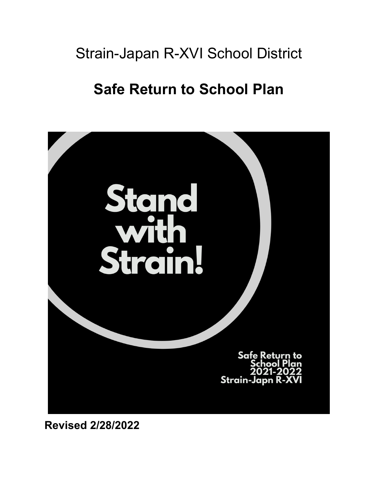# Strain-Japan R-XVI School District

# **Safe Return to School Plan**



**Revised 2/28/2022**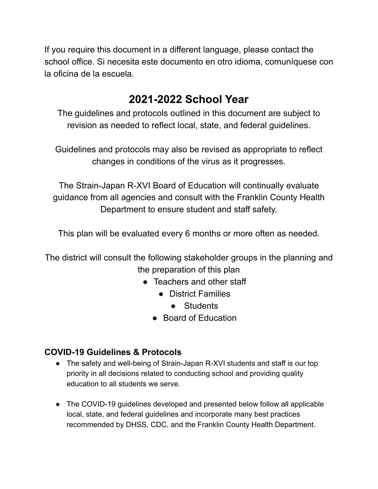If you require this document in a different language, please contact the school office. Si necesita este documento en otro idioma, comuníquese con la oficina de la escuela.

# **2021-2022 School Year**

The guidelines and protocols outlined in this document are subject to revision as needed to reflect local, state, and federal guidelines.

Guidelines and protocols may also be revised as appropriate to reflect changes in conditions of the virus as it progresses.

The Strain-Japan R-XVI Board of Education will continually evaluate guidance from all agencies and consult with the Franklin County Health Department to ensure student and staff safety.

This plan will be evaluated every 6 months or more often as needed.

The district will consult the following stakeholder groups in the planning and the preparation of this plan

- Teachers and other staff
	- District Families
		- Students
	- Board of Education

### **COVID-19 Guidelines & Protocols**

- The safety and well-being of Strain-Japan R-XVI students and staff is our top priority in all decisions related to conducting school and providing quality education to all students we serve.
- The COVID-19 guidelines developed and presented below follow all applicable local, state, and federal guidelines and incorporate many best practices recommended by DHSS, CDC, and the Franklin County Health Department.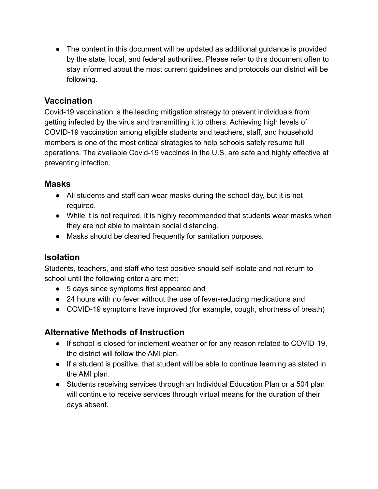● The content in this document will be updated as additional guidance is provided by the state, local, and federal authorities. Please refer to this document often to stay informed about the most current guidelines and protocols our district will be following.

#### **Vaccination**

Covid-19 vaccination is the leading mitigation strategy to prevent individuals from getting infected by the virus and transmitting it to others. Achieving high levels of COVID-19 vaccination among eligible students and teachers, staff, and household members is one of the most critical strategies to help schools safely resume full operations. The available Covid-19 vaccines in the U.S. are safe and highly effective at preventing infection.

#### **Masks**

- All students and staff can wear masks during the school day, but it is not required.
- While it is not required, it is highly recommended that students wear masks when they are not able to maintain social distancing.
- Masks should be cleaned frequently for sanitation purposes.

### **Isolation**

Students, teachers, and staff who test positive should self-isolate and not return to school until the following criteria are met:

- 5 days since symptoms first appeared and
- 24 hours with no fever without the use of fever-reducing medications and
- COVID-19 symptoms have improved (for example, cough, shortness of breath)

### **Alternative Methods of Instruction**

- If school is closed for inclement weather or for any reason related to COVID-19, the district will follow the AMI plan.
- If a student is positive, that student will be able to continue learning as stated in the AMI plan.
- Students receiving services through an Individual Education Plan or a 504 plan will continue to receive services through virtual means for the duration of their days absent.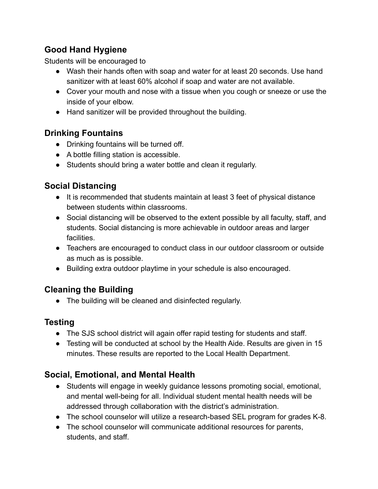# **Good Hand Hygiene**

Students will be encouraged to

- Wash their hands often with soap and water for at least 20 seconds. Use hand sanitizer with at least 60% alcohol if soap and water are not available.
- Cover your mouth and nose with a tissue when you cough or sneeze or use the inside of your elbow.
- Hand sanitizer will be provided throughout the building.

## **Drinking Fountains**

- Drinking fountains will be turned off.
- A bottle filling station is accessible.
- Students should bring a water bottle and clean it regularly.

# **Social Distancing**

- It is recommended that students maintain at least 3 feet of physical distance between students within classrooms.
- Social distancing will be observed to the extent possible by all faculty, staff, and students. Social distancing is more achievable in outdoor areas and larger facilities.
- Teachers are encouraged to conduct class in our outdoor classroom or outside as much as is possible.
- Building extra outdoor playtime in your schedule is also encouraged.

# **Cleaning the Building**

● The building will be cleaned and disinfected regularly.

# **Testing**

- The SJS school district will again offer rapid testing for students and staff.
- Testing will be conducted at school by the Health Aide. Results are given in 15 minutes. These results are reported to the Local Health Department.

# **Social, Emotional, and Mental Health**

- Students will engage in weekly guidance lessons promoting social, emotional, and mental well-being for all. Individual student mental health needs will be addressed through collaboration with the district's administration.
- The school counselor will utilize a research-based SEL program for grades K-8.
- The school counselor will communicate additional resources for parents, students, and staff.